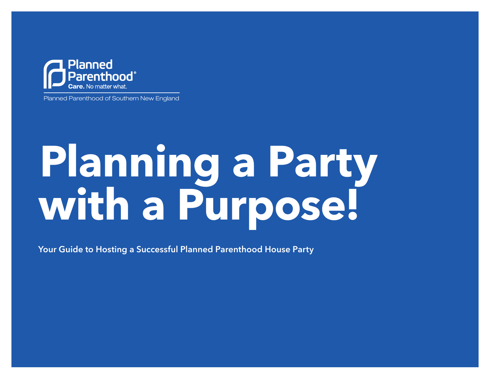

Planned Parenthood of Southern New England

## **Planning a Party with a Purpose!**

Your Guide to Hosting a Successful Planned Parenthood House Party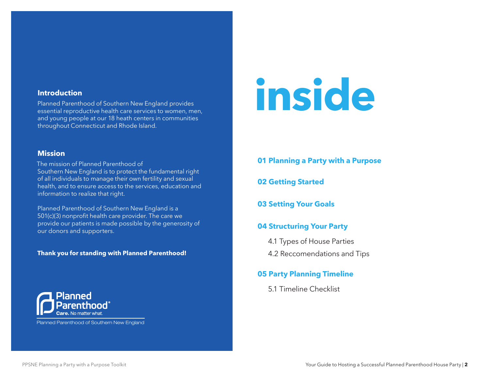#### **Introduction**

Planned Parenthood of Southern New England provides essential reproductive health care services to women, men, and young people at our 18 heath centers in communities throughout Connecticut and Rhode Island.

#### **Mission**

The mission of Planned Parenthood of Southern New England is to protect the fundamental right of all individuals to manage their own fertility and sexual health, and to ensure access to the services, education and information to realize that right.

Planned Parenthood of Southern New England is a 501(c)(3) nonprofit health care provider. The care we provide our patients is made possible by the generosity of our donors and supporters.

#### **Thank you for standing with Planned Parenthood!**



[Planned Parenthood of Southern New England](https://ppsne.org)

# **inside**

- **01 Planning a Party with a Purpose**
- **02 Getting Started**
- **03 Setting Your Goals**

## **04 Structuring Your Party**

- 4.1 Types of House Parties
- 4.2 Reccomendations and Tips

### **05 Party Planning Timeline**

5.1 Timeline Checklist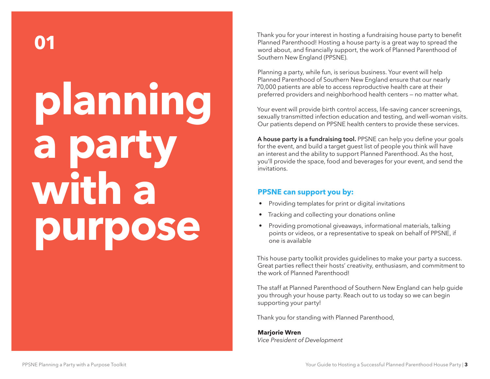## **planning a party with a purpose 01**

Thank you for your interest in hosting a fundraising house party to benefit Planned Parenthood! Hosting a house party is a great way to spread the word about, and financially support, the work of Planned Parenthood of Southern New England (PPSNE).

Planning a party, while fun, is serious business. Your event will help Planned Parenthood of Southern New England ensure that our nearly 70,000 patients are able to access reproductive health care at their preferred providers and neighborhood health centers — no matter what.

Your event will provide birth control access, life-saving cancer screenings, sexually transmitted infection education and testing, and well-woman visits. Our patients depend on PPSNE health centers to provide these services.

A house party is a fundraising tool. PPSNE can help you define your goals for the event, and build a target guest list of people you think will have an interest and the ability to support Planned Parenthood. As the host, you'll provide the space, food and beverages for your event, and send the invitations.

## **PPSNE can support you by:**

- Providing templates for print or digital invitations
- Tracking and collecting your donations online
- Providing promotional giveaways, informational materials, talking points or videos, or a representative to speak on behalf of PPSNE, if one is available

This house party toolkit provides guidelines to make your party a success. Great parties reflect their hosts' creativity, enthusiasm, and commitment to the work of Planned Parenthood!

The staff at Planned Parenthood of Southern New England can help guide you through your house party. Reach out to us today so we can begin supporting your party!

Thank you for standing with Planned Parenthood,

**Marjorie Wren** *Vice President of Development*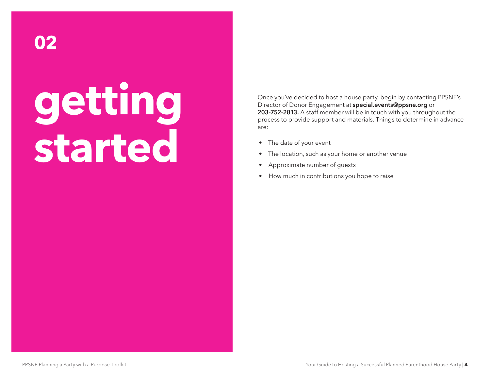## **getting started**

Once you've decided to host a house party, begin by contacting PPSNE's Director of Donor Engagement at [special.events@ppsne.org](mailto:special.events@ppsne.org) or 203-752-2813. A staff member will be in touch with you throughout the process to provide support and materials. Things to determine in advance are:

- The date of your event
- The location, such as your home or another venue
- Approximate number of guests
- How much in contributions you hope to raise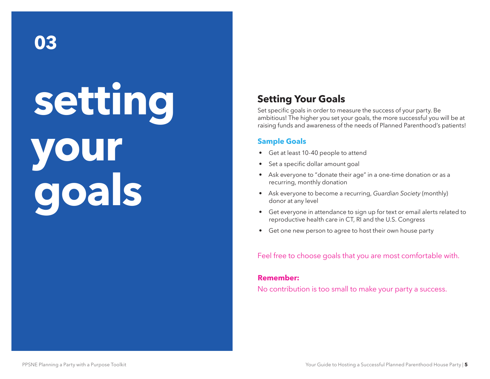**setting your goals**

## **Setting Your Goals**

Set specific goals in order to measure the success of your party. Be ambitious! The higher you set your goals, the more successful you will be at raising funds and awareness of the needs of Planned Parenthood's patients!

## **Sample Goals**

- Get at least 10-40 people to attend
- Set a specific dollar amount goal
- Ask everyone to "donate their age" in a one-time donation or as a recurring, monthly donation
- Ask everyone to become a recurring, *Guardian Society* (monthly) donor at any level
- Get everyone in attendance to sign up for text or email alerts related to reproductive health care in CT, RI and the U.S. Congress
- Get one new person to agree to host their own house party

Feel free to choose goals that you are most comfortable with.

#### **Remember:**

No contribution is too small to make your party a success.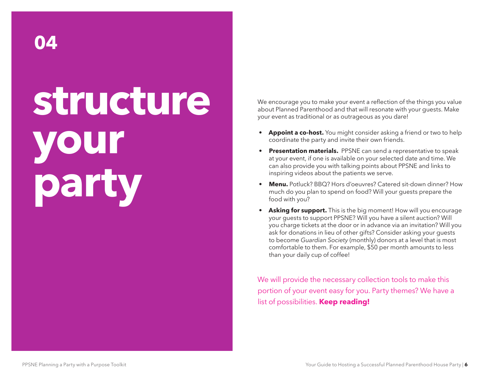## **structure your party**

We encourage you to make your event a reflection of the things you value about Planned Parenthood and that will resonate with your guests. Make your event as traditional or as outrageous as you dare!

- **• Appoint a co-host.** You might consider asking a friend or two to help coordinate the party and invite their own friends.
- **• Presentation materials.** PPSNE can send a representative to speak at your event, if one is available on your selected date and time. We can also provide you with talking points about PPSNE and links to inspiring videos about the patients we serve.
- **• Menu.** Potluck? BBQ? Hors d'oeuvres? Catered sit-down dinner? How much do you plan to spend on food? Will your guests prepare the food with you?
- **• Asking for support.** This is the big moment! How will you encourage your guests to support PPSNE? Will you have a silent auction? Will you charge tickets at the door or in advance via an invitation? Will you ask for donations in lieu of other gifts? Consider asking your guests to become *Guardian Society* (monthly) donors at a level that is most comfortable to them. For example, \$50 per month amounts to less than your daily cup of coffee!

We will provide the necessary collection tools to make this portion of your event easy for you. Party themes? We have a list of possibilities. **Keep reading!**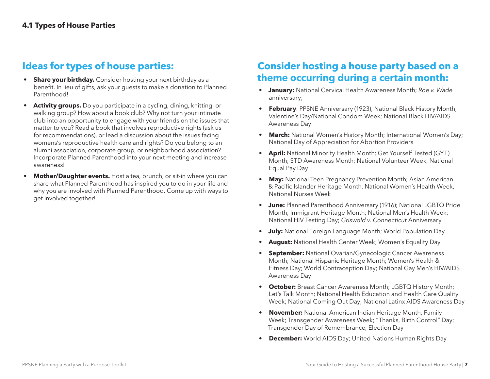## **Ideas for types of house parties:**

- **Share your birthday.** Consider hosting your next birthday as a benefit. In lieu of gifts, ask your guests to make a donation to Planned Parenthood!
- **• Activity groups.** Do you participate in a cycling, dining, knitting, or walking group? How about a book club? Why not turn your intimate club into an opportunity to engage with your friends on the issues that matter to you? Read a book that involves reproductive rights (ask us for recommendations), or lead a discussion about the issues facing womens's reproductive health care and rights? Do you belong to an alumni association, corporate group, or neighborhood association? Incorporate Planned Parenthood into your next meeting and increase awareness!
- **Mother/Daughter events.** Host a tea, brunch, or sit-in where you can share what Planned Parenthood has inspired you to do in your life and why you are involved with Planned Parenthood. Come up with ways to get involved together!

## **Consider hosting a house party based on a theme occurring during a certain month:**

- **• January:** National Cervical Health Awareness Month; *Roe v. Wade*  anniversary;
- **• February**: PPSNE Anniversary (1923), National Black History Month; Valentine's Day/National Condom Week; National Black HIV/AIDS Awareness Day
- **• March:** National Women's History Month; International Women's Day; National Day of Appreciation for Abortion Providers
- **• April:** National Minority Health Month; Get Yourself Tested (GYT) Month; STD Awareness Month; National Volunteer Week, National Equal Pay Day
- **• May:** National Teen Pregnancy Prevention Month; Asian American & Pacific Islander Heritage Month, National Women's Health Week, National Nurses Week
- **• June:** Planned Parenthood Anniversary (1916); National LGBTQ Pride Month; Immigrant Heritage Month; National Men's Health Week; National HIV Testing Day; *Griswold v. Connecticut* Anniversary
- **• July:** National Foreign Language Month; World Population Day
- **• August:** National Health Center Week; Women's Equality Day
- **• September:** National Ovarian/Gynecologic Cancer Awareness Month; National Hispanic Heritage Month; Women's Health & Fitness Day; World Contraception Day; National Gay Men's HIV/AIDS Awareness Day
- **• October:** Breast Cancer Awareness Month; LGBTQ History Month; Let's Talk Month; National Health Education and Health Care Quality Week; National Coming Out Day; National Latinx AIDS Awareness Day
- **• November:** National American Indian Heritage Month; Family Week; Transgender Awareness Week; "Thanks, Birth Control" Day; Transgender Day of Remembrance; Election Day
- **• December:** World AIDS Day; United Nations Human Rights Day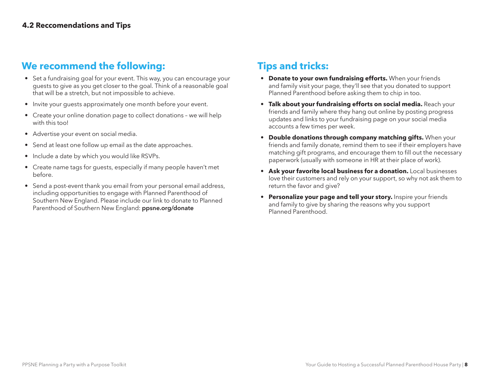## **We recommend the following:**

- Set a fundraising goal for your event. This way, you can encourage your guests to give as you get closer to the goal. Think of a reasonable goal that will be a stretch, but not impossible to achieve.
- Invite your guests approximately one month before your event.
- Create your online donation page to collect donations we will help with this tool
- Advertise your event on social media.
- Send at least one follow up email as the date approaches.
- Include a date by which you would like RSVPs.
- Create name tags for guests, especially if many people haven't met before.
- Send a post-event thank you email from your personal email address, including opportunities to engage with Planned Parenthood of Southern New England. Please include our link to donate to Planned Parenthood of Southern New England: [ppsne.org/donate](https://ppsne.org/donate)

## **Tips and tricks:**

- **• Donate to your own fundraising efforts.** When your friends and family visit your page, they'll see that you donated to support Planned Parenthood before asking them to chip in too.
- **• Talk about your fundraising efforts on social media.** Reach your friends and family where they hang out online by posting progress updates and links to your fundraising page on your social media accounts a few times per week.
- **• Double donations through company matching gifts.** When your friends and family donate, remind them to see if their employers have matching gift programs, and encourage them to fill out the necessary paperwork (usually with someone in HR at their place of work).
- **• Ask your favorite local business for a donation.** Local businesses love their customers and rely on your support, so why not ask them to return the favor and give?
- **• Personalize your page and tell your story.** Inspire your friends and family to give by sharing the reasons why you support Planned Parenthood.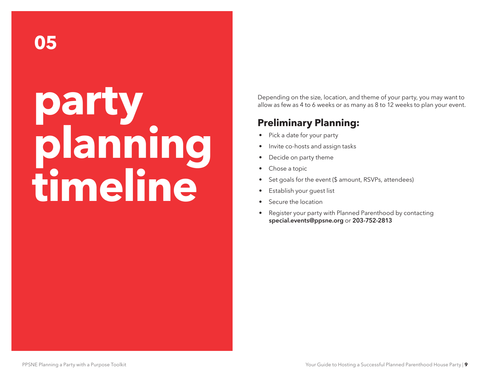## **party planning timeline**

Depending on the size, location, and theme of your party, you may want to allow as few as 4 to 6 weeks or as many as 8 to 12 weeks to plan your event.

## **Preliminary Planning:**

- Pick a date for your party
- Invite co-hosts and assign tasks
- Decide on party theme
- Chose a topic
- Set goals for the event (\$ amount, RSVPs, attendees)
- Establish your guest list
- Secure the location
- Register your party with Planned Parenthood by contacting [special.events@ppsne.org](mailto:special.events@ppsne.org) or 203-752-2813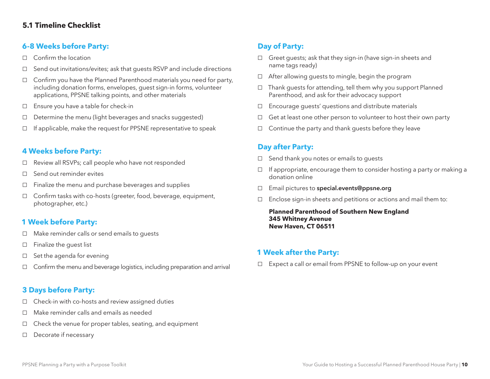## **5.1 Timeline Checklist**

### **6-8 Weeks before Party:**

- □ Confirm the location
- □ Send out invitations/evites; ask that guests RSVP and include directions
- $\Box$  Confirm you have the Planned Parenthood materials you need for party, including donation forms, envelopes, guest sign-in forms, volunteer applications, PPSNE talking points, and other materials
- □ Ensure you have a table for check-in
- □ Determine the menu (light beverages and snacks suggested)
- $\Box$  If applicable, make the request for PPSNE representative to speak

### **4 Weeks before Party:**

- □ Review all RSVPs; call people who have not responded
- $\Box$  Send out reminder evites
- $\Box$  Finalize the menu and purchase beverages and supplies
- □ Confirm tasks with co-hosts (greeter, food, beverage, equipment, photographer, etc.)

### **1 Week before Party:**

- □ Make reminder calls or send emails to guests
- □ Finalize the guest list
- $\Box$  Set the agenda for evening
- □ Confirm the menu and beverage logistics, including preparation and arrival

## **3 Days before Party:**

- $\Box$  Check-in with co-hosts and review assigned duties
- □ Make reminder calls and emails as needed
- $\Box$  Check the venue for proper tables, seating, and equipment
- □ Decorate if necessary

## **Day of Party:**

- $\Box$  Greet quests; ask that they sign-in (have sign-in sheets and name tags ready)
- $\Box$  After allowing quests to mingle, begin the program
- $\Box$  Thank quests for attending, tell them why you support Planned Parenthood, and ask for their advocacy support
- $\Box$  Encourage quests' questions and distribute materials
- $\Box$  Get at least one other person to volunteer to host their own party
- $\Box$  Continue the party and thank quests before they leave

### **Day after Party:**

- $\Box$  Send thank you notes or emails to quests
- $\Box$  If appropriate, encourage them to consider hosting a party or making a donation online
- □ Email pictures to [special.events@ppsne.org](mailto:special.events@ppsne.org)
- $\Box$  Enclose sign-in sheets and petitions or actions and mail them to:

**Planned Parenthood of Southern New England 345 Whitney Avenue New Haven, CT 06511**

#### **1 Week after the Party:**

□ Expect a call or email from PPSNE to follow-up on your event